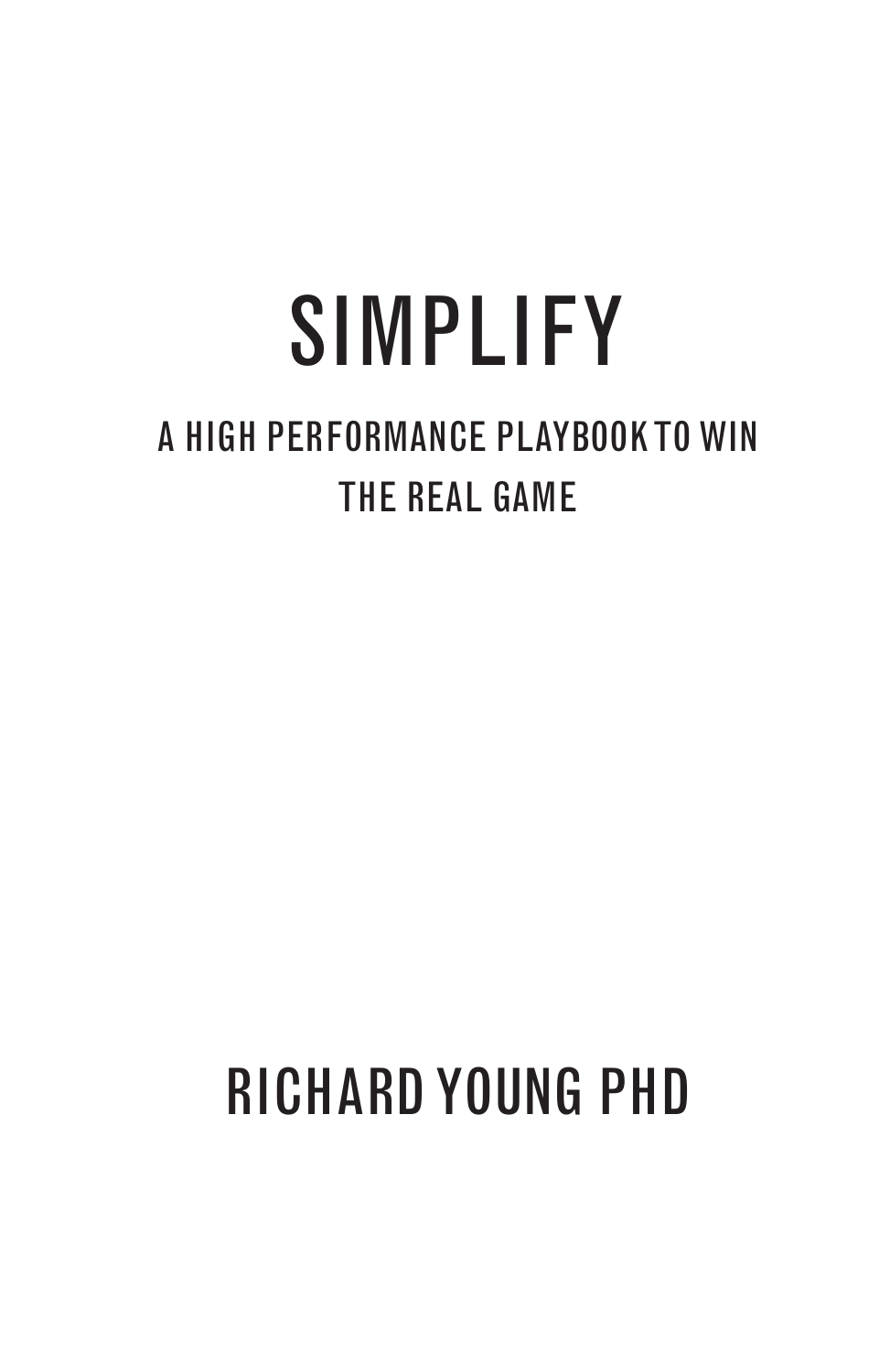# SIMPLIFY

### A HIGH PERFORMANCE PLAYBOOK TO WIN THE REAL GAME

### RICHARD YOUNG PHD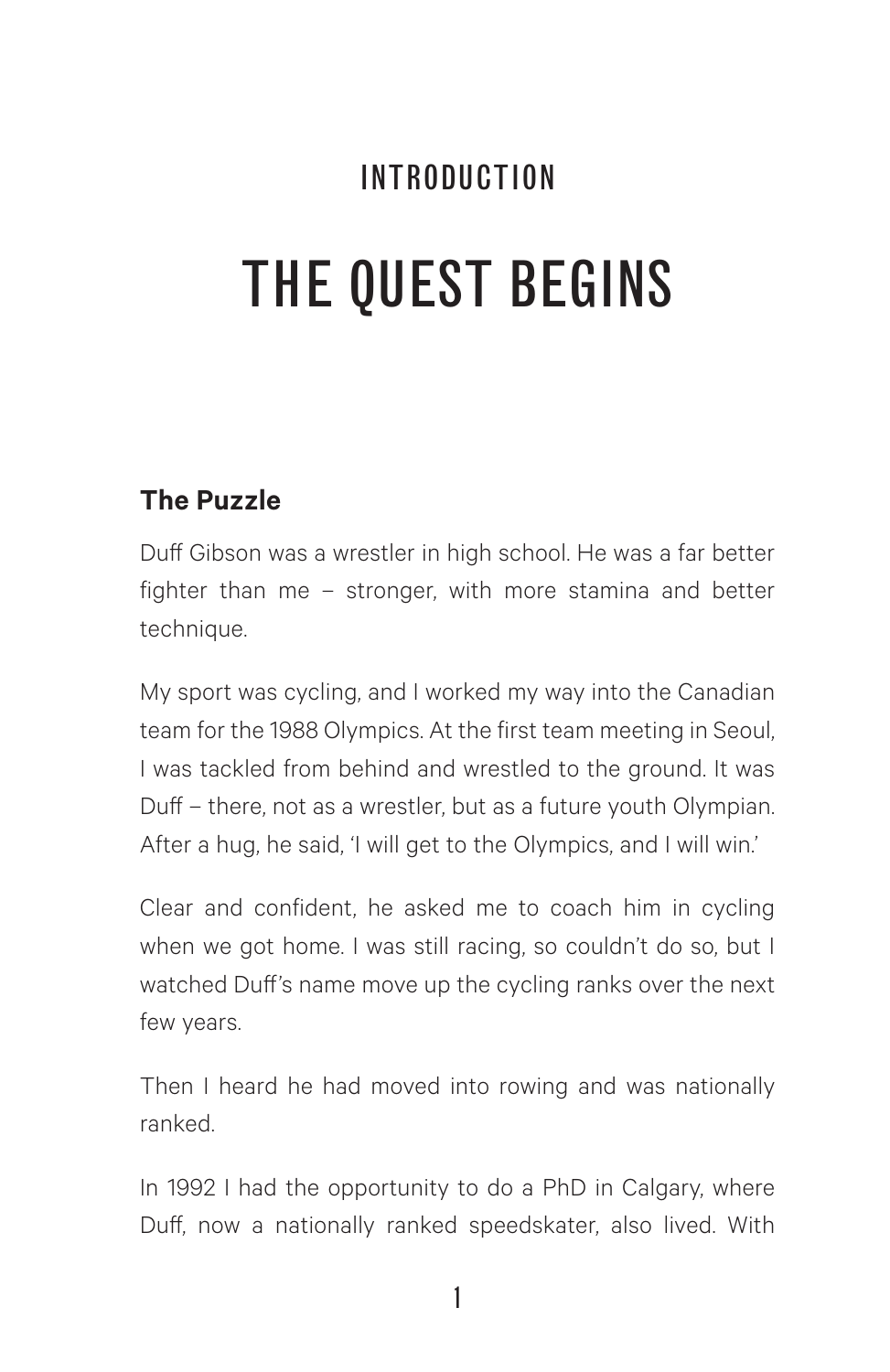## INTRODUCTION THE QUEST BEGINS

#### **The Puzzle**

Duff Gibson was a wrestler in high school. He was a far better fighter than me – stronger, with more stamina and better technique.

My sport was cycling, and I worked my way into the Canadian team for the 1988 Olympics. At the first team meeting in Seoul, I was tackled from behind and wrestled to the ground. It was Duff – there, not as a wrestler, but as a future youth Olympian. After a hug, he said, 'I will get to the Olympics, and I will win.'

Clear and confident, he asked me to coach him in cycling when we got home. I was still racing, so couldn't do so, but I watched Duff's name move up the cycling ranks over the next few years.

Then I heard he had moved into rowing and was nationally ranked.

In 1992 I had the opportunity to do a PhD in Calgary, where Duff, now a nationally ranked speedskater, also lived. With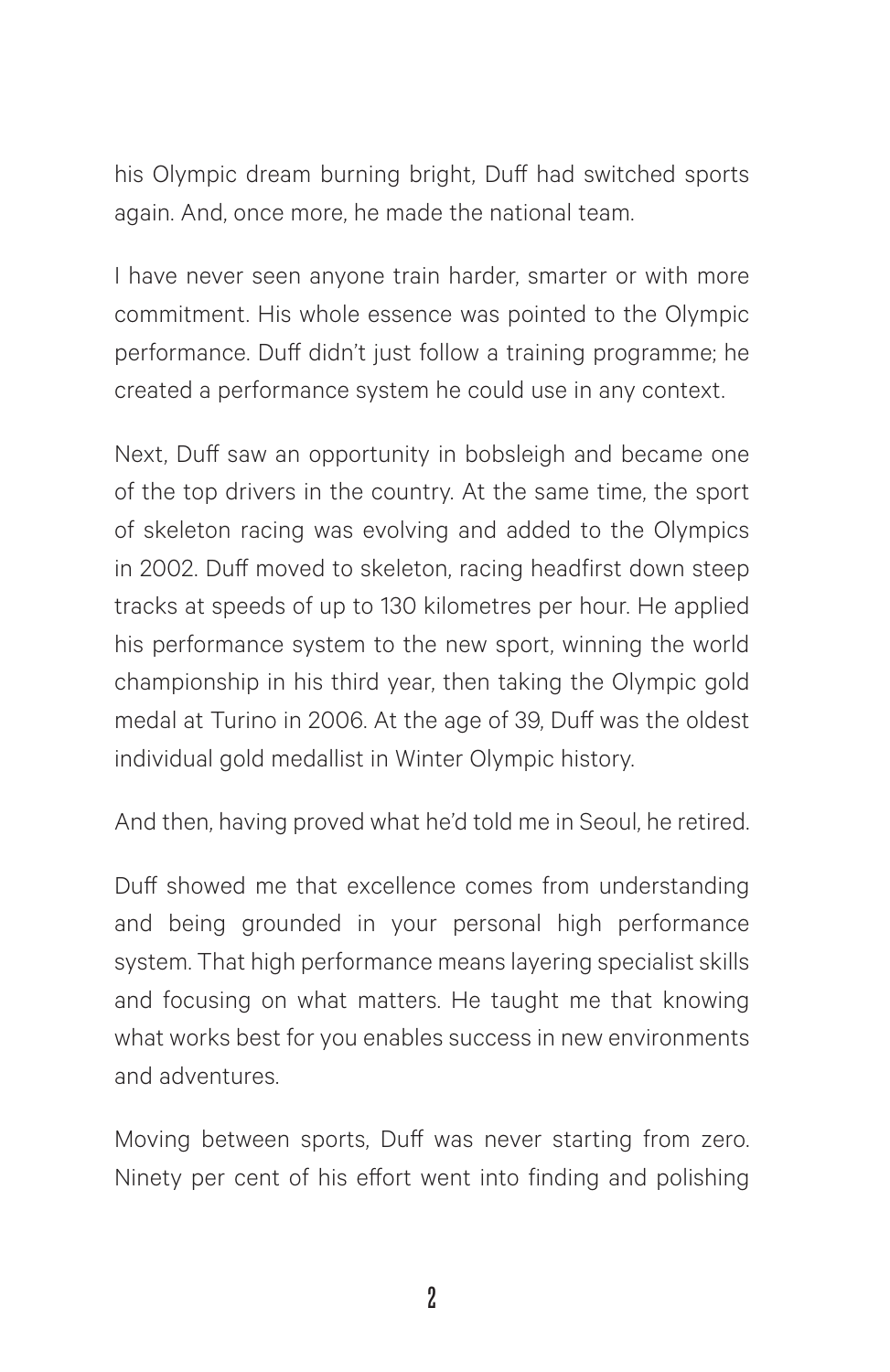his Olympic dream burning bright, Duff had switched sports again. And, once more, he made the national team.

I have never seen anyone train harder, smarter or with more commitment. His whole essence was pointed to the Olympic performance. Duff didn't just follow a training programme; he created a performance system he could use in any context.

Next, Duff saw an opportunity in bobsleigh and became one of the top drivers in the country. At the same time, the sport of skeleton racing was evolving and added to the Olympics in 2002. Duff moved to skeleton, racing headfirst down steep tracks at speeds of up to 130 kilometres per hour. He applied his performance system to the new sport, winning the world championship in his third year, then taking the Olympic gold medal at Turino in 2006. At the age of 39, Duff was the oldest individual gold medallist in Winter Olympic history.

And then, having proved what he'd told me in Seoul, he retired.

Duff showed me that excellence comes from understanding and being grounded in your personal high performance system. That high performance means layering specialist skills and focusing on what matters. He taught me that knowing what works best for you enables success in new environments and adventures.

Moving between sports, Duff was never starting from zero. Ninety per cent of his effort went into finding and polishing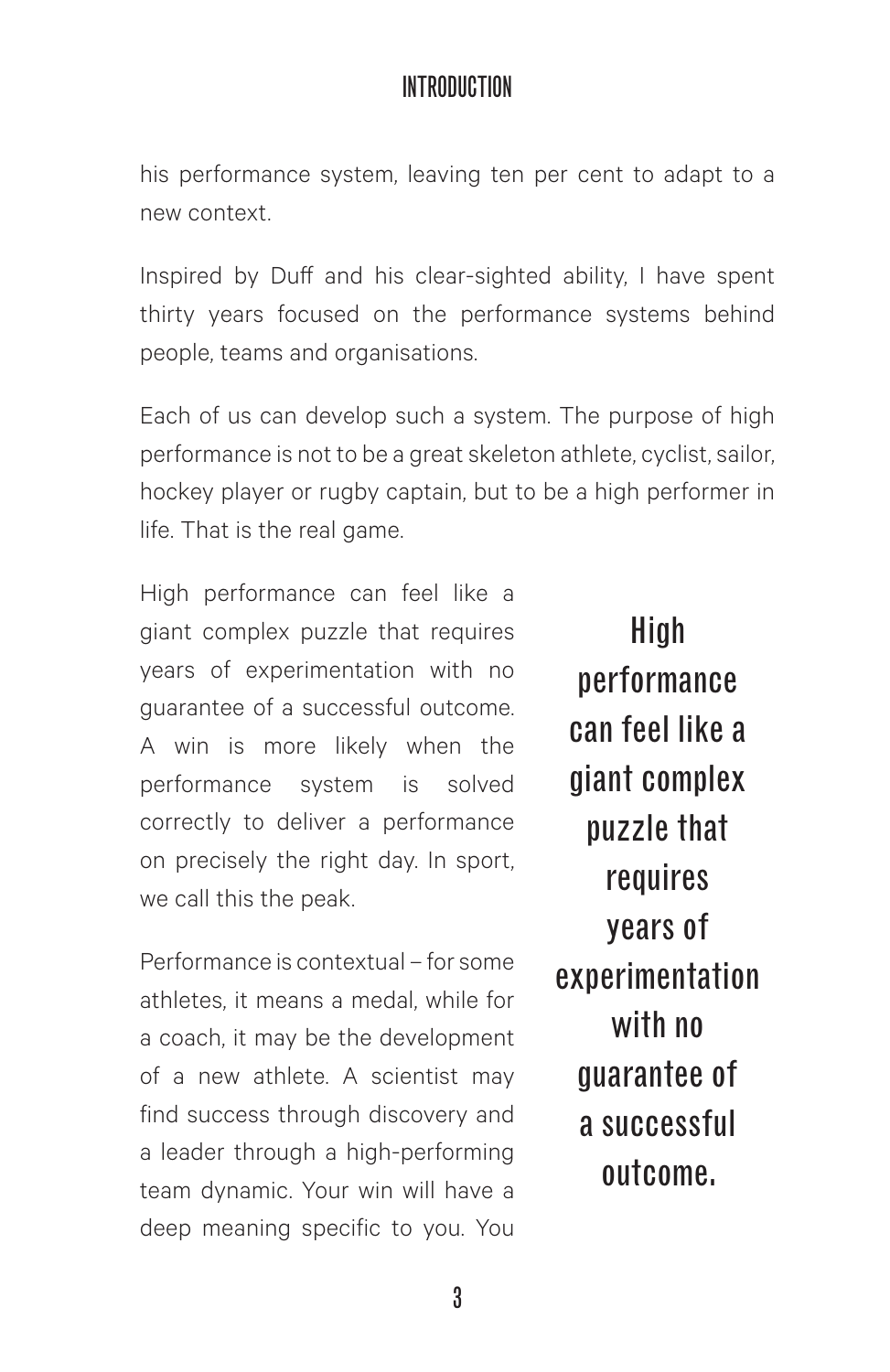#### INTRODUCTION

his performance system, leaving ten per cent to adapt to a new context.

Inspired by Duff and his clear-sighted ability, I have spent thirty years focused on the performance systems behind people, teams and organisations.

Each of us can develop such a system. The purpose of high performance is not to be a great skeleton athlete, cyclist, sailor, hockey player or rugby captain, but to be a high performer in life. That is the real game.

High performance can feel like a giant complex puzzle that requires years of experimentation with no guarantee of a successful outcome. A win is more likely when the performance system is solved correctly to deliver a performance on precisely the right day. In sport, we call this the peak.

Performance is contextual – for some athletes, it means a medal, while for a coach, it may be the development of a new athlete. A scientist may find success through discovery and a leader through a high-performing team dynamic. Your win will have a deep meaning specific to you. You

High performance can feel like a giant complex puzzle that requires years of experimentation with no guarantee of a successful outcome.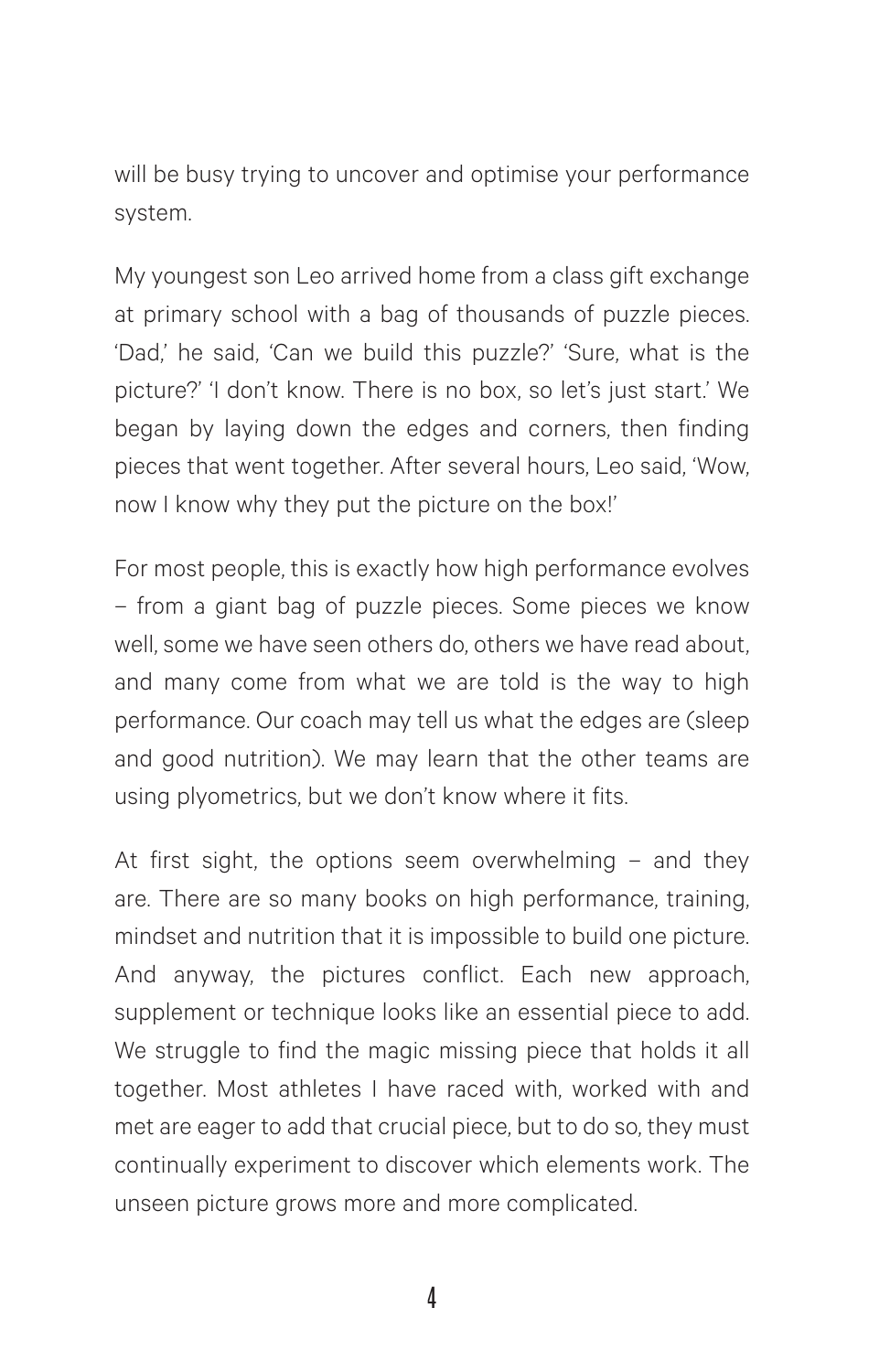will be busy trying to uncover and optimise your performance system.

My youngest son Leo arrived home from a class gift exchange at primary school with a bag of thousands of puzzle pieces. 'Dad,' he said, 'Can we build this puzzle?' 'Sure, what is the picture?' 'I don't know. There is no box, so let's just start.' We began by laying down the edges and corners, then finding pieces that went together. After several hours, Leo said, 'Wow, now I know why they put the picture on the box!'

For most people, this is exactly how high performance evolves – from a giant bag of puzzle pieces. Some pieces we know well, some we have seen others do, others we have read about, and many come from what we are told is the way to high performance. Our coach may tell us what the edges are (sleep and good nutrition). We may learn that the other teams are using plyometrics, but we don't know where it fits.

At first sight, the options seem overwhelming – and they are. There are so many books on high performance, training, mindset and nutrition that it is impossible to build one picture. And anyway, the pictures conflict. Each new approach, supplement or technique looks like an essential piece to add. We struggle to find the magic missing piece that holds it all together. Most athletes I have raced with, worked with and met are eager to add that crucial piece, but to do so, they must continually experiment to discover which elements work. The unseen picture grows more and more complicated.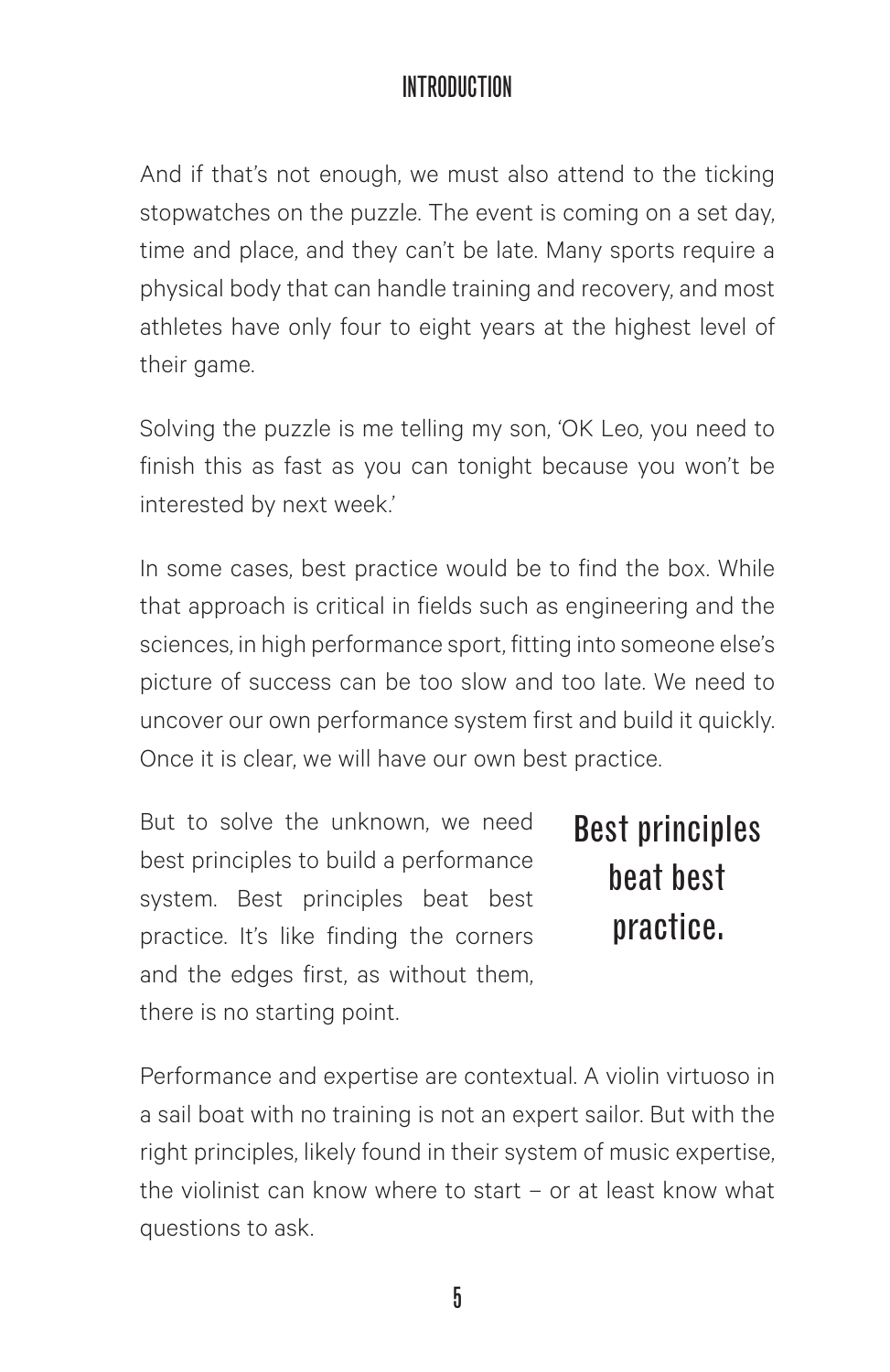#### INTRODUCTION

And if that's not enough, we must also attend to the ticking stopwatches on the puzzle. The event is coming on a set day, time and place, and they can't be late. Many sports require a physical body that can handle training and recovery, and most athletes have only four to eight years at the highest level of their game.

Solving the puzzle is me telling my son, 'OK Leo, you need to finish this as fast as you can tonight because you won't be interested by next week.'

In some cases, best practice would be to find the box. While that approach is critical in fields such as engineering and the sciences, in high performance sport, fitting into someone else's picture of success can be too slow and too late. We need to uncover our own performance system first and build it quickly. Once it is clear, we will have our own best practice.

But to solve the unknown, we need best principles to build a performance system. Best principles beat best practice. It's like finding the corners and the edges first, as without them, there is no starting point.

Best principles beat best practice.

Performance and expertise are contextual. A violin virtuoso in a sail boat with no training is not an expert sailor. But with the right principles, likely found in their system of music expertise, the violinist can know where to start – or at least know what questions to ask.